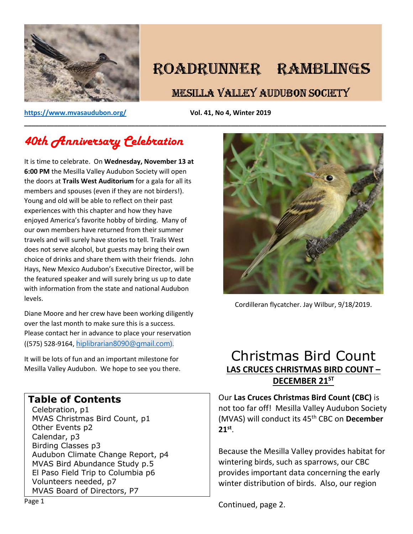

# ROADRUNNER RAMBLINGS

# **MESILLA VALLEY AUDUBON SOCIETY**

**<https://www.mvasaudubon.org/>Vol. 41, No 4, Winter 2019** 

# *40th Anniversary Celebration*

It is time to celebrate. On **Wednesday, November 13 at 6:00 PM** the Mesilla Valley Audubon Society will open the doors at **Trails West Auditorium** for a gala for all its members and spouses (even if they are not birders!). Young and old will be able to reflect on their past experiences with this chapter and how they have enjoyed America's favorite hobby of birding. Many of our own members have returned from their summer travels and will surely have stories to tell. Trails West does not serve alcohol, but guests may bring their own choice of drinks and share them with their friends. John Hays, New Mexico Audubon's Executive Director, will be the featured speaker and will surely bring us up to date with information from the state and national Audubon levels.

Diane Moore and her crew have been working diligently over the last month to make sure this is a success. Please contact her in advance to place your reservation ((575) 528-9164, [hiplibrarian8090@gmail.com\)](mailto:hiplibrarian8090@gmail.com).

It will be lots of fun and an important milestone for Mesilla Valley Audubon. We hope to see you there.

# **Table of Contents**

Celebration, p1 MVAS Christmas Bird Count, p1 Other Events p2 Calendar, p3 Birding Classes p3 Audubon Climate Change Report, p4 MVAS Bird Abundance Study p.5 El Paso Field Trip to Columbia p6 Volunteers needed, p7 MVAS Board of Directors, P7



Cordilleran flycatcher. Jay Wilbur, 9/18/2019.

# Christmas Bird Count **LAS CRUCES CHRISTMAS BIRD COUNT – DECEMBER 21ST**

Our **Las Cruces Christmas Bird Count (CBC)** is not too far off! Mesilla Valley Audubon Society (MVAS) will conduct its 45th CBC on **December 21st** .

Because the Mesilla Valley provides habitat for wintering birds, such as sparrows, our CBC provides important data concerning the early winter distribution of birds. Also, our region

Continued, page 2.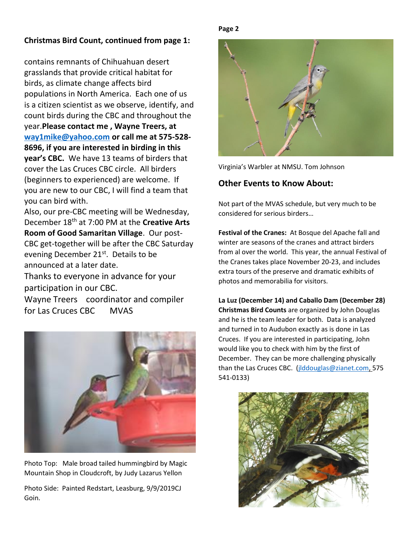### **Christmas Bird Count, continued from page 1:**

contains remnants of Chihuahuan desert grasslands that provide critical habitat for birds, as climate change affects bird populations in North America. Each one of us is a citizen scientist as we observe, identify, and count birds during the CBC and throughout the year.**Please contact me , Wayne Treers, at [way1mike@yahoo.com](mailto:way1mike@yahoo.com) or call me at 575-528- 8696, if you are interested in birding in this year's CBC.** We have 13 teams of birders that cover the Las Cruces CBC circle. All birders (beginners to experienced) are welcome. If you are new to our CBC, I will find a team that you can bird with.

Also, our pre-CBC meeting will be Wednesday, December 18th at 7:00 PM at the **Creative Arts Room of Good Samaritan Village**. Our post-CBC get-together will be after the CBC Saturday evening December 21<sup>st</sup>. Details to be announced at a later date.

Thanks to everyone in advance for your participation in our CBC.

Wayne Treers coordinator and compiler for Las Cruces CBC MVAS



Photo Top: Male broad tailed hummingbird by Magic Mountain Shop in Cloudcroft, by Judy Lazarus Yellon

Photo Side: Painted Redstart, Leasburg, 9/9/2019CJ Goin.

**Page 2**



Virginia's Warbler at NMSU. Tom Johnson

## **Other Events to Know About:**

Not part of the MVAS schedule, but very much to be considered for serious birders…

**Festival of the Cranes:** At Bosque del Apache fall and winter are seasons of the cranes and attract birders from al over the world. This year, the annual Festival of the Cranes takes place November 20-23, and includes extra tours of the preserve and dramatic exhibits of photos and memorabilia for visitors.

**La Luz (December 14) and Caballo Dam (December 28) Christmas Bird Counts** are organized by John Douglas and he is the team leader for both. Data is analyzed and turned in to Audubon exactly as is done in Las Cruces. If you are interested in participating, John would like you to check with him by the first of December. They can be more challenging physically than the Las Cruces CBC. (*jlddouglas@zianet.com*, 575 541-0133)

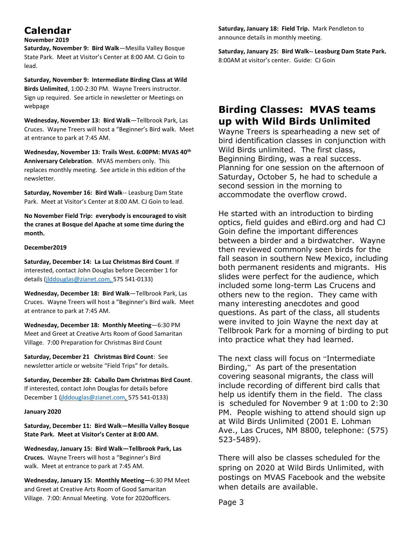# **Calendar**

#### **November 2019**

**Saturday, November 9: Bird Walk**—Mesilla Valley Bosque State Park. Meet at Visitor's Center at 8:00 AM. CJ Goin to lead.

**Saturday, November 9: Intermediate Birding Class at Wild Birds Unlimited**, 1:00-2:30 PM. Wayne Treers instructor. Sign up required. See article in newsletter or Meetings on webpage

**Wednesday, November 13: Bird Walk**—Tellbrook Park, Las Cruces. Wayne Treers will host a "Beginner's Bird walk. Meet at entrance to park at 7:45 AM.

**Wednesday, November 13: Trails West. 6:00PM: MVAS 40th Anniversary Celebration**.MVAS members only. This replaces monthly meeting. See article in this edition of the newsletter.

**Saturday, November 16: Bird Walk**-- Leasburg Dam State Park. Meet at Visitor's Center at 8:00 AM. CJ Goin to lead.

**No November Field Trip: everybody is encouraged to visit the cranes at Bosque del Apache at some time during the month.**

#### **December2019**

**Saturday, December 14: La Luz Christmas Bird Count**. If interested, contact John Douglas before December 1 for details [\(jlddouglas@zianet.com,](mailto:jlddouglas@zianet.com) 575 541-0133)

**Wednesday, December 18: Bird Walk**—Tellbrook Park, Las Cruces. Wayne Treers will host a "Beginner's Bird walk. Meet at entrance to park at 7:45 AM.

**Wednesday, December 18: Monthly Meeting**—6:30 PM Meet and Greet at Creative Arts Room of Good Samaritan Village. 7:00 Preparation for Christmas Bird Count

**Saturday, December 21 Christmas Bird Count**: See newsletter article or website "Field Trips" for details.

**Saturday, December 28: Caballo Dam Christmas Bird Count**. If interested, contact John Douglas for details before December 1 [\(jlddouglas@zianet.com,](mailto:jlddouglas@zianet.com) 575 541-0133)

#### **January 2020**

**Saturday, December 11: Bird Walk—Mesilla Valley Bosque State Park. Meet at Visitor's Center at 8:00 AM.** 

**Wednesday, January 15: Bird Walk—Tellbrook Park, Las Cruces.** Wayne Treers will host a "Beginner's Bird walk. Meet at entrance to park at 7:45 AM.

**Wednesday, January 15: Monthly Meeting—**6:30 PM Meet and Greet at Creative Arts Room of Good Samaritan Village. 7:00: Annual Meeting. Vote for 2020officers.

**Saturday, January 18: Field Trip.** Mark Pendleton to announce details in monthly meeting.

**Saturday, January 25: Bird Walk-- Leasburg Dam State Park.**  8:00AM at visitor's center. Guide: CJ Goin

# **Birding Classes: MVAS teams up with Wild Birds Unlimited**

Wayne Treers is spearheading a new set of bird identification classes in conjunction with Wild Birds unlimited. The first class, Beginning Birding, was a real success. Planning for one session on the afternoon of Saturday, October 5, he had to schedule a second session in the morning to accommodate the overflow crowd.

He started with an introduction to birding optics, field guides and eBird.org and had CJ Goin define the important differences between a birder and a birdwatcher. Wayne then reviewed commonly seen birds for the fall season in southern New Mexico, including both permanent residents and migrants. His slides were perfect for the audience, which included some long-term Las Crucens and others new to the region. They came with many interesting anecdotes and good questions. As part of the class, all students were invited to join Wayne the next day at Tellbrook Park for a morning of birding to put into practice what they had learned.

The next class will focus on "Intermediate Birding," As part of the presentation covering seasonal migrants, the class will include recording of different bird calls that help us identify them in the field. The class is scheduled for November 9 at 1:00 to 2:30 PM. People wishing to attend should sign up at Wild Birds Unlimited (2001 E. Lohman Ave., Las Cruces, NM 8800, telephone: (575) 523-5489).

There will also be classes scheduled for the spring on 2020 at Wild Birds Unlimited, with postings on MVAS Facebook and the website when details are available.

Page 3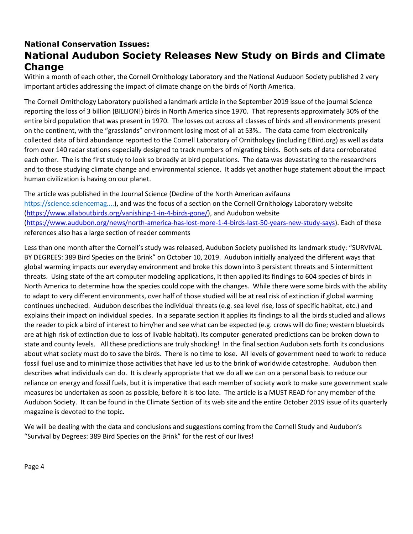# **National Conservation Issues: National Audubon Society Releases New Study on Birds and Climate Change**

Within a month of each other, the Cornell Ornithology Laboratory and the National Audubon Society published 2 very important articles addressing the impact of climate change on the birds of North America.

The Cornell Ornithology Laboratory published a landmark article in the September 2019 issue of the journal Science reporting the loss of 3 billion (BILLION!) birds in North America since 1970. That represents approximately 30% of the entire bird population that was present in 1970. The losses cut across all classes of birds and all environments present on the continent, with the "grasslands" environment losing most of all at 53%.. The data came from electronically collected data of bird abundance reported to the Cornell Laboratory of Ornithology (including EBird.org) as well as data from over 140 radar stations especially designed to track numbers of migrating birds. Both sets of data corroborated each other. The is the first study to look so broadly at bird populations. The data was devastating to the researchers and to those studying climate change and environmental science. It adds yet another huge statement about the impact human civilization is having on our planet.

The article was published in the Journal Science (Decline of the North American avifauna [https://science.sciencemag....\)](https://disq.us/url?url=https%3A%2F%2Fscience.sciencemag.org%2Fcontent%2Fearly%2F2019%2F09%2F18%2Fscience.aaw1313%3A03AfKQ5XSqeIMq7ZSn1xsxr8C_g&cuid=3729926), and was the focus of a section on the Cornell Ornithology Laboratory website [\(https://www.allaboutbirds.org/vanishing-1-in-4-birds-gone/\)](https://www.allaboutbirds.org/vanishing-1-in-4-birds-gone/), and Audubon website [\(https://www.audubon.org/news/north-america-has-lost-more-1-4-birds-last-50-years-new-study-says\)](https://www.audubon.org/news/north-america-has-lost-more-1-4-birds-last-50-years-new-study-says). Each of these references also has a large section of reader comments

Less than one month after the Cornell's study was released, Audubon Society published its landmark study: "SURVIVAL BY DEGREES: 389 Bird Species on the Brink" on October 10, 2019. Audubon initially analyzed the different ways that global warming impacts our everyday environment and broke this down into 3 persistent threats and 5 intermittent threats. Using state of the art computer modeling applications, It then applied its findings to 604 species of birds in North America to determine how the species could cope with the changes. While there were some birds with the ability to adapt to very different environments, over half of those studied will be at real risk of extinction if global warming continues unchecked. Audubon describes the individual threats (e.g. sea level rise, loss of specific habitat, etc.) and explains their impact on individual species. In a separate section it applies its findings to all the birds studied and allows the reader to pick a bird of interest to him/her and see what can be expected (e.g. crows will do fine; western bluebirds are at high risk of extinction due to loss of livable habitat). Its computer-generated predictions can be broken down to state and county levels. All these predictions are truly shocking! In the final section Audubon sets forth its conclusions about what society must do to save the birds. There is no time to lose. All levels of government need to work to reduce fossil fuel use and to minimize those activities that have led us to the brink of worldwide catastrophe. Audubon then describes what individuals can do. It is clearly appropriate that we do all we can on a personal basis to reduce our reliance on energy and fossil fuels, but it is imperative that each member of society work to make sure government scale measures be undertaken as soon as possible, before it is too late. The article is a MUST READ for any member of the Audubon Society. It can be found in the Climate Section of its web site and the entire October 2019 issue of its quarterly magazine is devoted to the topic.

We will be dealing with the data and conclusions and suggestions coming from the Cornell Study and Audubon's "Survival by Degrees: 389 Bird Species on the Brink" for the rest of our lives!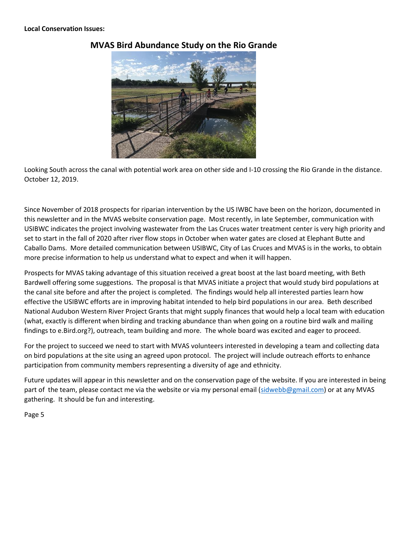

## **MVAS Bird Abundance Study on the Rio Grande**

Looking South across the canal with potential work area on other side and I-10 crossing the Rio Grande in the distance. October 12, 2019.

Since November of 2018 prospects for riparian intervention by the US IWBC have been on the horizon, documented in this newsletter and in the MVAS website conservation page. Most recently, in late September, communication with USIBWC indicates the project involving wastewater from the Las Cruces water treatment center is very high priority and set to start in the fall of 2020 after river flow stops in October when water gates are closed at Elephant Butte and Caballo Dams. More detailed communication between USIBWC, City of Las Cruces and MVAS is in the works, to obtain more precise information to help us understand what to expect and when it will happen.

Prospects for MVAS taking advantage of this situation received a great boost at the last board meeting, with Beth Bardwell offering some suggestions. The proposal is that MVAS initiate a project that would study bird populations at the canal site before and after the project is completed. The findings would help all interested parties learn how effective the USIBWC efforts are in improving habitat intended to help bird populations in our area. Beth described National Audubon Western River Project Grants that might supply finances that would help a local team with education (what, exactly is different when birding and tracking abundance than when going on a routine bird walk and mailing findings to e.Bird.org?), outreach, team building and more. The whole board was excited and eager to proceed.

For the project to succeed we need to start with MVAS volunteers interested in developing a team and collecting data on bird populations at the site using an agreed upon protocol. The project will include outreach efforts to enhance participation from community members representing a diversity of age and ethnicity.

Future updates will appear in this newsletter and on the conservation page of the website. If you are interested in being part of the team, please contact me via the website or via my personal email [\(sidwebb@gmail.com\)](mailto:sidwebb@gmail.com) or at any MVAS gathering. It should be fun and interesting.

Page 5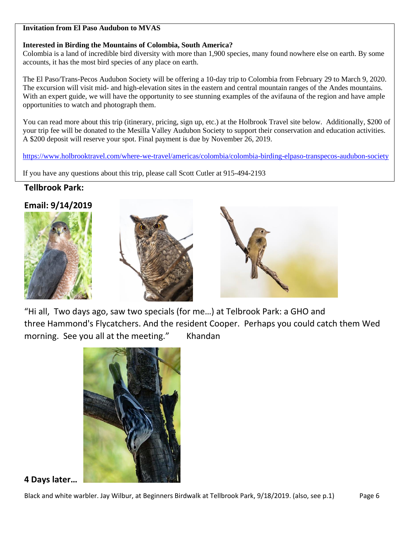#### **Invitation from El Paso Audubon to MVAS**

### **Interested in Birding the Mountains of Colombia, South America?**

Colombia is a land of incredible bird diversity with more than 1,900 species, many found nowhere else on earth. By some accounts, it has the most bird species of any place on earth.

The El Paso/Trans-Pecos Audubon Society will be offering a 10-day trip to Colombia from February 29 to March 9, 2020. The excursion will visit mid- and high-elevation sites in the eastern and central mountain ranges of the Andes mountains. With an expert guide, we will have the opportunity to see stunning examples of the avifauna of the region and have ample opportunities to watch and photograph them.

You can read more about this trip (itinerary, pricing, sign up, etc.) at the Holbrook Travel site below. Additionally, \$200 of your trip fee will be donated to the Mesilla Valley Audubon Society to support their conservation and education activities. A \$200 deposit will reserve your spot. Final payment is due by November 26, 2019.

<https://www.holbrooktravel.com/where-we-travel/americas/colombia/colombia-birding-elpaso-transpecos-audubon-society>

If you have any questions about this trip, please call Scott Cutler at 915-494-2193

# **Tellbrook Park:**

# **Email: 9/14/2019**







"Hi all, Two days ago, saw two specials (for me…) at Telbrook Park: a GHO and three Hammond's Flycatchers. And the resident Cooper. Perhaps you could catch them Wed morning. See you all at the meeting." Khandan



**4 Days later…**